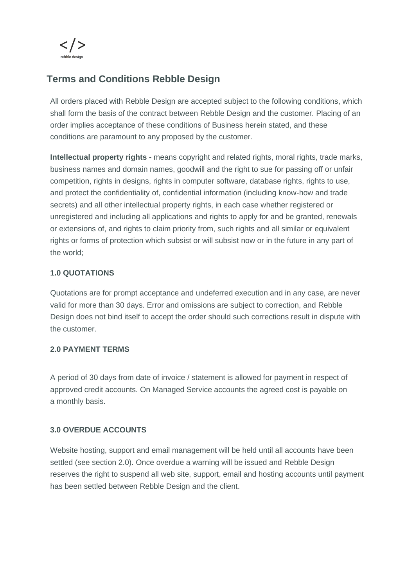

# **Terms and Conditions Rebble Design**

All orders placed with Rebble Design are accepted subject to the following conditions, which shall form the basis of the contract between Rebble Design and the customer. Placing of an order implies acceptance of these conditions of Business herein stated, and these conditions are paramount to any proposed by the customer.

**Intellectual property rights -** means copyright and related rights, moral rights, trade marks, business names and domain names, goodwill and the right to sue for passing off or unfair competition, rights in designs, rights in computer software, database rights, rights to use, and protect the confidentiality of, confidential information (including know-how and trade secrets) and all other intellectual property rights, in each case whether registered or unregistered and including all applications and rights to apply for and be granted, renewals or extensions of, and rights to claim priority from, such rights and all similar or equivalent rights or forms of protection which subsist or will subsist now or in the future in any part of the world;

## **1.0 QUOTATIONS**

Quotations are for prompt acceptance and undeferred execution and in any case, are never valid for more than 30 days. Error and omissions are subject to correction, and Rebble Design does not bind itself to accept the order should such corrections result in dispute with the customer.

### **2.0 PAYMENT TERMS**

A period of 30 days from date of invoice / statement is allowed for payment in respect of approved credit accounts. On Managed Service accounts the agreed cost is payable on a monthly basis.

### **3.0 OVERDUE ACCOUNTS**

Website hosting, support and email management will be held until all accounts have been settled (see section 2.0). Once overdue a warning will be issued and Rebble Design reserves the right to suspend all web site, support, email and hosting accounts until payment has been settled between Rebble Design and the client.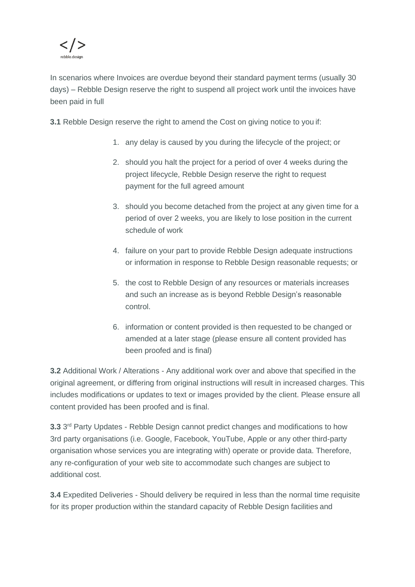

In scenarios where Invoices are overdue beyond their standard payment terms (usually 30 days) – Rebble Design reserve the right to suspend all project work until the invoices have been paid in full

**3.1** Rebble Design reserve the right to amend the Cost on giving notice to you if:

- 1. any delay is caused by you during the lifecycle of the project; or
- 2. should you halt the project for a period of over 4 weeks during the project lifecycle, Rebble Design reserve the right to request payment for the full agreed amount
- 3. should you become detached from the project at any given time for a period of over 2 weeks, you are likely to lose position in the current schedule of work
- 4. failure on your part to provide Rebble Design adequate instructions or information in response to Rebble Design reasonable requests; or
- 5. the cost to Rebble Design of any resources or materials increases and such an increase as is beyond Rebble Design's reasonable control.
- 6. information or content provided is then requested to be changed or amended at a later stage (please ensure all content provided has been proofed and is final)

**3.2** Additional Work / Alterations - Any additional work over and above that specified in the original agreement, or differing from original instructions will result in increased charges. This includes modifications or updates to text or images provided by the client. Please ensure all content provided has been proofed and is final.

3.3 3<sup>rd</sup> Party Updates - Rebble Design cannot predict changes and modifications to how 3rd party organisations (i.e. Google, Facebook, YouTube, Apple or any other third-party organisation whose services you are integrating with) operate or provide data. Therefore, any re-configuration of your web site to accommodate such changes are subject to additional cost.

**3.4** Expedited Deliveries - Should delivery be required in less than the normal time requisite for its proper production within the standard capacity of Rebble Design facilities and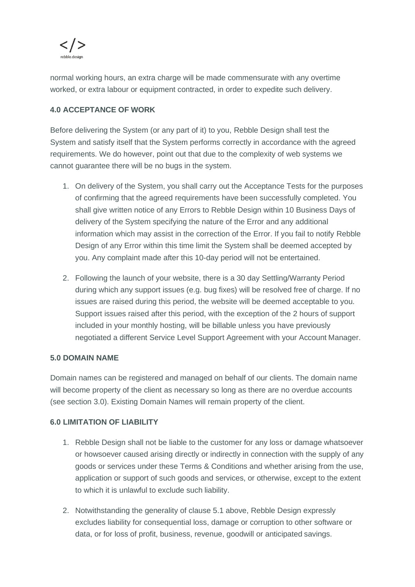

normal working hours, an extra charge will be made commensurate with any overtime worked, or extra labour or equipment contracted, in order to expedite such delivery.

## **4.0 ACCEPTANCE OF WORK**

Before delivering the System (or any part of it) to you, Rebble Design shall test the System and satisfy itself that the System performs correctly in accordance with the agreed requirements. We do however, point out that due to the complexity of web systems we cannot guarantee there will be no bugs in the system.

- 1. On delivery of the System, you shall carry out the Acceptance Tests for the purposes of confirming that the agreed requirements have been successfully completed. You shall give written notice of any Errors to Rebble Design within 10 Business Days of delivery of the System specifying the nature of the Error and any additional information which may assist in the correction of the Error. If you fail to notify Rebble Design of any Error within this time limit the System shall be deemed accepted by you. Any complaint made after this 10-day period will not be entertained.
- 2. Following the launch of your website, there is a 30 day Settling/Warranty Period during which any support issues (e.g. bug fixes) will be resolved free of charge. If no issues are raised during this period, the website will be deemed acceptable to you. Support issues raised after this period, with the exception of the 2 hours of support included in your monthly hosting, will be billable unless you have previously negotiated a different Service Level Support Agreement with your Account Manager.

### **5.0 DOMAIN NAME**

Domain names can be registered and managed on behalf of our clients. The domain name will become property of the client as necessary so long as there are no overdue accounts (see section 3.0). Existing Domain Names will remain property of the client.

### **6.0 LIMITATION OF LIABILITY**

- 1. Rebble Design shall not be liable to the customer for any loss or damage whatsoever or howsoever caused arising directly or indirectly in connection with the supply of any goods or services under these Terms & Conditions and whether arising from the use, application or support of such goods and services, or otherwise, except to the extent to which it is unlawful to exclude such liability.
- 2. Notwithstanding the generality of clause 5.1 above, Rebble Design expressly excludes liability for consequential loss, damage or corruption to other software or data, or for loss of profit, business, revenue, goodwill or anticipated savings.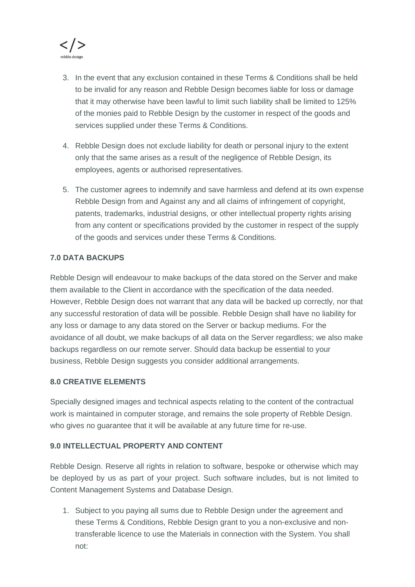

- 3. In the event that any exclusion contained in these Terms & Conditions shall be held to be invalid for any reason and Rebble Design becomes liable for loss or damage that it may otherwise have been lawful to limit such liability shall be limited to 125% of the monies paid to Rebble Design by the customer in respect of the goods and services supplied under these Terms & Conditions.
- 4. Rebble Design does not exclude liability for death or personal injury to the extent only that the same arises as a result of the negligence of Rebble Design, its employees, agents or authorised representatives.
- 5. The customer agrees to indemnify and save harmless and defend at its own expense Rebble Design from and Against any and all claims of infringement of copyright, patents, trademarks, industrial designs, or other intellectual property rights arising from any content or specifications provided by the customer in respect of the supply of the goods and services under these Terms & Conditions.

### **7.0 DATA BACKUPS**

Rebble Design will endeavour to make backups of the data stored on the Server and make them available to the Client in accordance with the specification of the data needed. However, Rebble Design does not warrant that any data will be backed up correctly, nor that any successful restoration of data will be possible. Rebble Design shall have no liability for any loss or damage to any data stored on the Server or backup mediums. For the avoidance of all doubt, we make backups of all data on the Server regardless; we also make backups regardless on our remote server. Should data backup be essential to your business, Rebble Design suggests you consider additional arrangements.

### **8.0 CREATIVE ELEMENTS**

Specially designed images and technical aspects relating to the content of the contractual work is maintained in computer storage, and remains the sole property of Rebble Design. who gives no quarantee that it will be available at any future time for re-use.

### **9.0 INTELLECTUAL PROPERTY AND CONTENT**

Rebble Design. Reserve all rights in relation to software, bespoke or otherwise which may be deployed by us as part of your project. Such software includes, but is not limited to Content Management Systems and Database Design.

1. Subject to you paying all sums due to Rebble Design under the agreement and these Terms & Conditions, Rebble Design grant to you a non-exclusive and nontransferable licence to use the Materials in connection with the System. You shall not: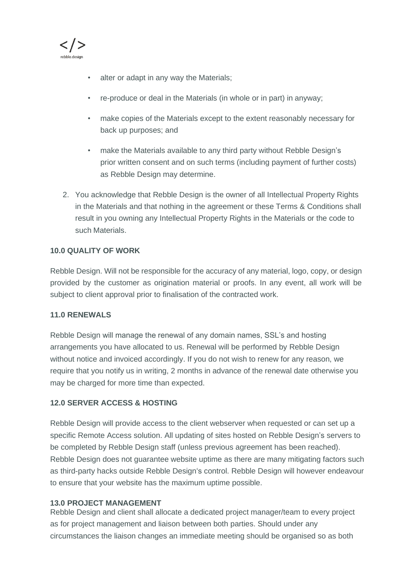

- alter or adapt in any way the Materials;
- re-produce or deal in the Materials (in whole or in part) in anyway;
- make copies of the Materials except to the extent reasonably necessary for back up purposes; and
- make the Materials available to any third party without Rebble Design's prior written consent and on such terms (including payment of further costs) as Rebble Design may determine.
- 2. You acknowledge that Rebble Design is the owner of all Intellectual Property Rights in the Materials and that nothing in the agreement or these Terms & Conditions shall result in you owning any Intellectual Property Rights in the Materials or the code to such Materials.

### **10.0 QUALITY OF WORK**

Rebble Design. Will not be responsible for the accuracy of any material, logo, copy, or design provided by the customer as origination material or proofs. In any event, all work will be subject to client approval prior to finalisation of the contracted work.

### **11.0 RENEWALS**

Rebble Design will manage the renewal of any domain names, SSL's and hosting arrangements you have allocated to us. Renewal will be performed by Rebble Design without notice and invoiced accordingly. If you do not wish to renew for any reason, we require that you notify us in writing, 2 months in advance of the renewal date otherwise you may be charged for more time than expected.

### **12.0 SERVER ACCESS & HOSTING**

Rebble Design will provide access to the client webserver when requested or can set up a specific Remote Access solution. All updating of sites hosted on Rebble Design's servers to be completed by Rebble Design staff (unless previous agreement has been reached). Rebble Design does not guarantee website uptime as there are many mitigating factors such as third-party hacks outside Rebble Design's control. Rebble Design will however endeavour to ensure that your website has the maximum uptime possible.

### **13.0 PROJECT MANAGEMENT**

Rebble Design and client shall allocate a dedicated project manager/team to every project as for project management and liaison between both parties. Should under any circumstances the liaison changes an immediate meeting should be organised so as both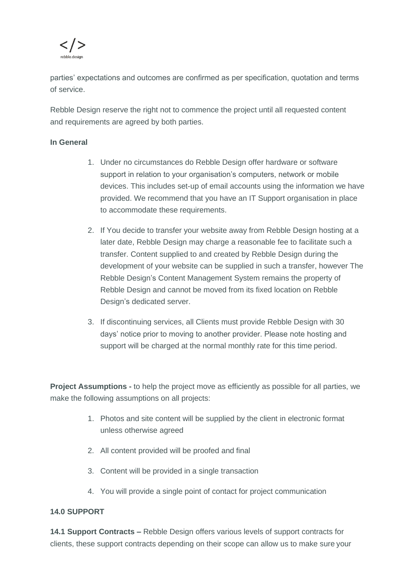

parties' expectations and outcomes are confirmed as per specification, quotation and terms of service.

Rebble Design reserve the right not to commence the project until all requested content and requirements are agreed by both parties.

#### **In General**

- 1. Under no circumstances do Rebble Design offer hardware or software support in relation to your organisation's computers, network or mobile devices. This includes set-up of email accounts using the information we have provided. We recommend that you have an IT Support organisation in place to accommodate these requirements.
- 2. If You decide to transfer your website away from Rebble Design hosting at a later date, Rebble Design may charge a reasonable fee to facilitate such a transfer. Content supplied to and created by Rebble Design during the development of your website can be supplied in such a transfer, however The Rebble Design's Content Management System remains the property of Rebble Design and cannot be moved from its fixed location on Rebble Design's dedicated server.
- 3. If discontinuing services, all Clients must provide Rebble Design with 30 days' notice prior to moving to another provider. Please note hosting and support will be charged at the normal monthly rate for this time period.

**Project Assumptions -** to help the project move as efficiently as possible for all parties, we make the following assumptions on all projects:

- 1. Photos and site content will be supplied by the client in electronic format unless otherwise agreed
- 2. All content provided will be proofed and final
- 3. Content will be provided in a single transaction
- 4. You will provide a single point of contact for project communication

### **14.0 SUPPORT**

**14.1 Support Contracts –** Rebble Design offers various levels of support contracts for clients, these support contracts depending on their scope can allow us to make sure your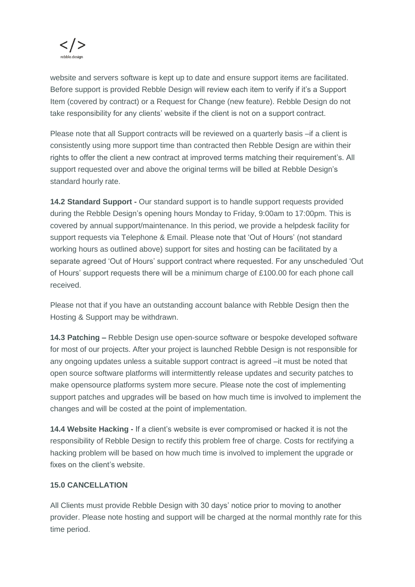

website and servers software is kept up to date and ensure support items are facilitated. Before support is provided Rebble Design will review each item to verify if it's a Support Item (covered by contract) or a Request for Change (new feature). Rebble Design do not take responsibility for any clients' website if the client is not on a support contract.

Please note that all Support contracts will be reviewed on a quarterly basis –if a client is consistently using more support time than contracted then Rebble Design are within their rights to offer the client a new contract at improved terms matching their requirement's. All support requested over and above the original terms will be billed at Rebble Design's standard hourly rate.

**14.2 Standard Support -** Our standard support is to handle support requests provided during the Rebble Design's opening hours Monday to Friday, 9:00am to 17:00pm. This is covered by annual support/maintenance. In this period, we provide a helpdesk facility for support requests via Telephone & Email. Please note that 'Out of Hours' (not standard working hours as outlined above) support for sites and hosting can be facilitated by a separate agreed 'Out of Hours' support contract where requested. For any unscheduled 'Out of Hours' support requests there will be a minimum charge of £100.00 for each phone call received.

Please not that if you have an outstanding account balance with Rebble Design then the Hosting & Support may be withdrawn.

**14.3 Patching –** Rebble Design use open-source software or bespoke developed software for most of our projects. After your project is launched Rebble Design is not responsible for any ongoing updates unless a suitable support contract is agreed –it must be noted that open source software platforms will intermittently release updates and security patches to make opensource platforms system more secure. Please note the cost of implementing support patches and upgrades will be based on how much time is involved to implement the changes and will be costed at the point of implementation.

**14.4 Website Hacking -** If a client's website is ever compromised or hacked it is not the responsibility of Rebble Design to rectify this problem free of charge. Costs for rectifying a hacking problem will be based on how much time is involved to implement the upgrade or fixes on the client's website.

#### **15.0 CANCELLATION**

All Clients must provide Rebble Design with 30 days' notice prior to moving to another provider. Please note hosting and support will be charged at the normal monthly rate for this time period.